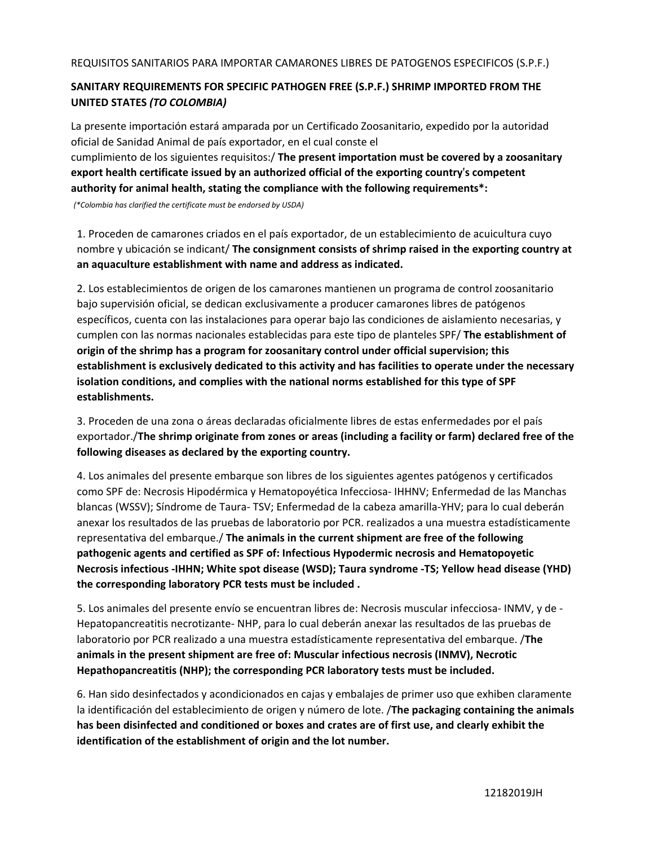## **SANITARY REQUIREMENTS FOR SPECIFIC PATHOGEN FREE (S.P.F.) SHRIMP IMPORTED FROM THE UNITED STATES** *(TO COLOMBIA)*

La presente importación estará amparada por un Certificado Zoosanitario, expedido por la autoridad oficial de Sanidad Animal de país exportador, en el cual conste el

cumplimiento de los siguientes requisitos:/ **The present importation must be covered by a zoosanitary export health certificate issued by an authorized official of the exporting country's competent authority for animal health, stating the compliance with the following requirements\*:**

*(\*Colombia has clarified the certificate must be endorsed by USDA)*

1. Proceden de camarones criados en el país exportador, de un establecimiento de acuicultura cuyo nombre y ubicación se indicant/ **The consignment consists of shrimp raised in the exporting country at an aquaculture establishment with name and address as indicated.**

2. Los establecimientos de origen de los camarones mantienen un programa de control zoosanitario bajo supervisión oficial, se dedican exclusivamente a producer camarones libres de patógenos específicos, cuenta con las instalaciones para operar bajo las condiciones de aislamiento necesarias, y cumplen con las normas nacionales establecidas para este tipo de planteles SPF/ **The establishment of origin of the shrimp has a program for zoosanitary control under official supervision; this establishment is exclusively dedicated to this activity and has facilities to operate under the necessary isolation conditions, and complies with the national norms established for this type of SPF establishments.**

3. Proceden de una zona o áreas declaradas oficialmente libres de estas enfermedades por el país exportador./**The shrimp originate from zones or areas (including a facility or farm) declared free of the following diseases as declared by the exporting country.**

4. Los animales del presente embarque son libres de los siguientes agentes patógenos y certificados como SPF de: Necrosis Hipodérmica y Hematopoyética Infecciosa- IHHNV; Enfermedad de las Manchas blancas (WSSV); Síndrome de Taura- TSV; Enfermedad de la cabeza amarilla-YHV; para lo cual deberán anexar los resultados de las pruebas de laboratorio por PCR. realizados a una muestra estadísticamente representativa del embarque./ **The animals in the current shipment are free of the following pathogenic agents and certified as SPF of: Infectious Hypodermic necrosis and Hematopoyetic Necrosis infectious -IHHN; White spot disease (WSD); Taura syndrome -TS; Yellow head disease (YHD) the corresponding laboratory PCR tests must be included .**

5. Los animales del presente envío se encuentran libres de: Necrosis muscular infecciosa- INMV, y de - Hepatopancreatitis necrotizante- NHP, para lo cual deberán anexar las resultados de las pruebas de laboratorio por PCR realizado a una muestra estadísticamente representativa del embarque. /**The animals in the present shipment are free of: Muscular infectious necrosis (INMV), Necrotic Hepathopancreatitis (NHP); the corresponding PCR laboratory tests must be included.**

6. Han sido desinfectados y acondicionados en cajas y embalajes de primer uso que exhiben claramente la identificación del establecimiento de origen y número de lote. /**The packaging containing the animals has been disinfected and conditioned or boxes and crates are of first use, and clearly exhibit the identification of the establishment of origin and the lot number.**